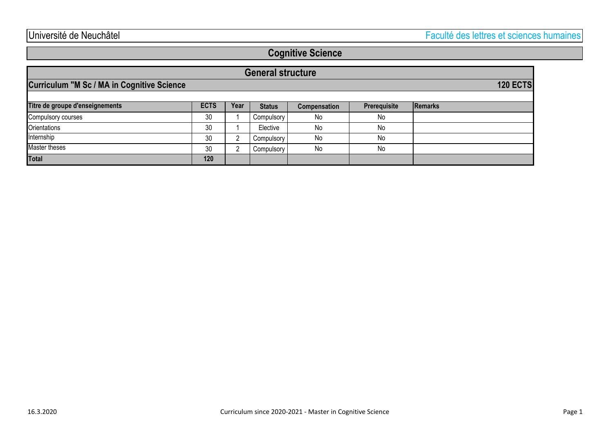## **Cognitive Science**

| <b>General structure</b>                          |             |      |               |                     |              |                 |
|---------------------------------------------------|-------------|------|---------------|---------------------|--------------|-----------------|
| <b>Curriculum "M Sc / MA in Cognitive Science</b> |             |      |               |                     |              | <b>120 ECTS</b> |
| Titre de groupe d'enseignements                   | <b>ECTS</b> | Year | <b>Status</b> | <b>Compensation</b> | Prerequisite | Remarks         |
| Compulsory courses                                | 30          |      | Compulsory    | No                  | No           |                 |
| Orientations                                      | 30          |      | Elective      | No                  | No           |                 |
| Internship                                        | 30          |      | Compulsory    | No                  | No           |                 |
| Master theses                                     | 30          |      | Compulsory    | No                  | No           |                 |
| <b>Total</b>                                      | 120         |      |               |                     |              |                 |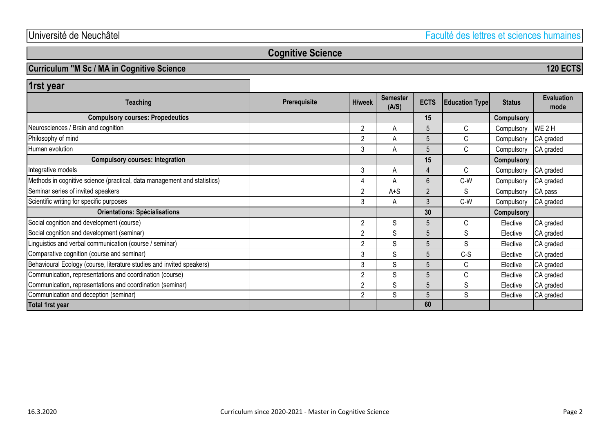Université de Neuchâtel Faculté des lettres et sciences humaines

**120 ECTS**

## **Cognitive Science**

### **Curriculum "M Sc / MA in Cognitive Science**

**15 Compulsory** 2 A 5 C Compulsory WE2H 2 A 5 C Compulsory CA graded 3 A 5 C Compulsory CA graded **15 Compulsory** 3 A 4 C Compulsory CA graded 4 | A | 6 | C-W | Compulsory CA graded 2 A<sup>+S</sup> 2 S Compulsory CA pass 3 A 3 C-W Compulsory CA graded **30 Compulsory** 2 S S 5 C Elective CA graded 2 S 5 S S Elective CA graded 2 S 5 S S Elective CA graded 3 S 5 C-S Elective CA graded 3 S S 5 C Elective CA graded 2 S 5 C Elective CA graded 2 S 5 S Elective CA graded 2 S 5 S Elective CA graded **60** Neurosciences / Brain and cognition **Orientations: Spécialisations 1rst year** Human evolution Social cognition and development (course) **ECTS** Philosophy of mind **Semester (A/S) Compulsory courses: Propedeutics** Integrative models Scientific writing for specific purposes **Evaluation mode Compulsory courses: Integration Prerequisite H/week ELD ECTS Education Type Status Teaching** Methods in cognitive science (practical, data management and statistics) Seminar series of invited speakers **Total 1rst year** Communication, representations and coordination (course) Communication, representations and coordination (seminar) Linguistics and verbal communication (course / seminar) Comparative cognition (course and seminar) Behavioural Ecology (course, literature studies and invited speakers) Social cognition and development (seminar) Communication and deception (seminar)